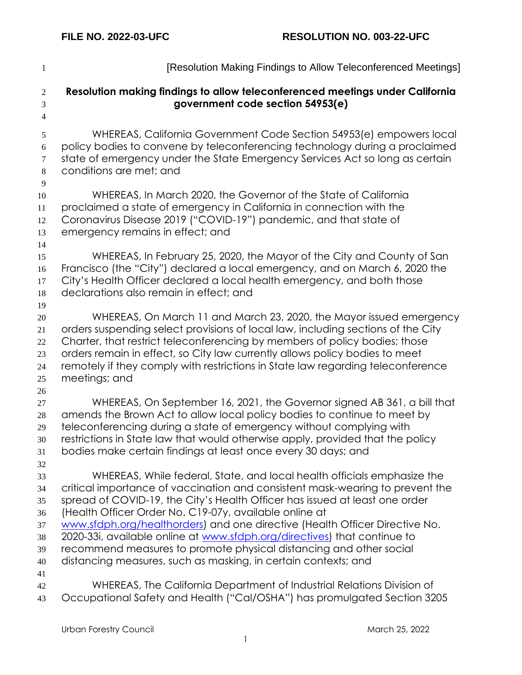| $\mathbf{1}$                        | [Resolution Making Findings to Allow Teleconferenced Meetings]                                                                                            |
|-------------------------------------|-----------------------------------------------------------------------------------------------------------------------------------------------------------|
| $\mathbf{2}$<br>3<br>$\overline{4}$ | Resolution making findings to allow teleconferenced meetings under California<br>government code section 54953(e)                                         |
| $\mathfrak{S}$                      | WHEREAS, California Government Code Section 54953(e) empowers local                                                                                       |
| 6                                   | policy bodies to convene by teleconferencing technology during a proclaimed                                                                               |
| $\tau$                              | state of emergency under the State Emergency Services Act so long as certain                                                                              |
| $8\phantom{1}$                      | conditions are met; and                                                                                                                                   |
| 9                                   |                                                                                                                                                           |
| 10                                  | WHEREAS, In March 2020, the Governor of the State of California<br>proclaimed a state of emergency in California in connection with the                   |
| 11<br>12                            | Coronavirus Disease 2019 ("COVID-19") pandemic, and that state of                                                                                         |
| 13                                  | emergency remains in effect; and                                                                                                                          |
| 14                                  |                                                                                                                                                           |
| 15                                  | WHEREAS, In February 25, 2020, the Mayor of the City and County of San                                                                                    |
| 16                                  | Francisco (the "City") declared a local emergency, and on March 6, 2020 the                                                                               |
| 17                                  | City's Health Officer declared a local health emergency, and both those                                                                                   |
| 18                                  | declarations also remain in effect; and                                                                                                                   |
| 19                                  |                                                                                                                                                           |
| 20                                  | WHEREAS, On March 11 and March 23, 2020, the Mayor issued emergency                                                                                       |
| 21                                  | orders suspending select provisions of local law, including sections of the City                                                                          |
| 22                                  | Charter, that restrict teleconferencing by members of policy bodies; those<br>orders remain in effect, so City law currently allows policy bodies to meet |
| 23<br>24                            | remotely if they comply with restrictions in State law regarding teleconference                                                                           |
| 25                                  | meetings; and                                                                                                                                             |
| 26                                  |                                                                                                                                                           |
| 27                                  | WHEREAS, On September 16, 2021, the Governor signed AB 361, a bill that                                                                                   |
| 28                                  | amends the Brown Act to allow local policy bodies to continue to meet by                                                                                  |
| 29                                  | teleconferencing during a state of emergency without complying with                                                                                       |
| 30                                  | restrictions in State law that would otherwise apply, provided that the policy                                                                            |
| 31                                  | bodies make certain findings at least once every 30 days; and                                                                                             |
| 32                                  |                                                                                                                                                           |
| 33                                  | WHEREAS, While federal, State, and local health officials emphasize the<br>critical importance of vaccination and consistent mask-wearing to prevent the  |
| 34<br>35                            | spread of COVID-19, the City's Health Officer has issued at least one order                                                                               |
| 36                                  | (Health Officer Order No. C19-07y, available online at                                                                                                    |
| 37                                  | www.sfdph.org/healthorders) and one directive (Health Officer Directive No.                                                                               |
| 38                                  | 2020-33i, available online at www.sfdph.org/directives) that continue to                                                                                  |
| 39                                  | recommend measures to promote physical distancing and other social                                                                                        |
| 40                                  | distancing measures, such as masking, in certain contexts; and                                                                                            |
| 41                                  |                                                                                                                                                           |
| 42                                  | WHEREAS, The California Department of Industrial Relations Division of                                                                                    |
| 43                                  | Occupational Safety and Health ("Cal/OSHA") has promulgated Section 3205                                                                                  |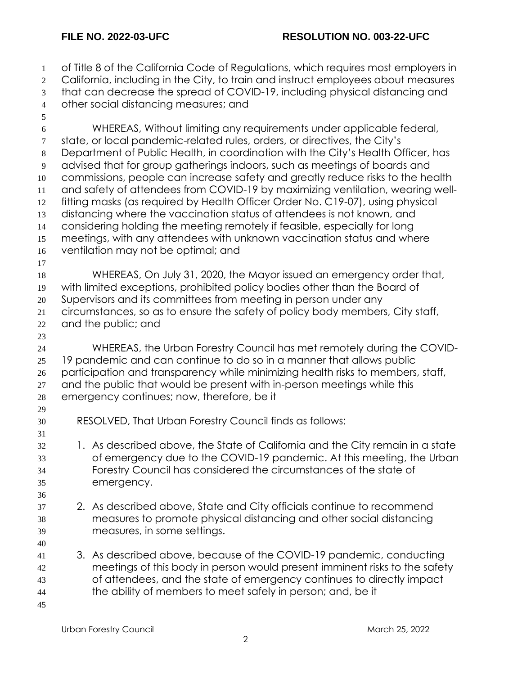of Title 8 of the California Code of Regulations, which requires most employers in 2 California, including in the City, to train and instruct employees about measures that can decrease the spread of COVID-19, including physical distancing and other social distancing measures; and WHEREAS, Without limiting any requirements under applicable federal, state, or local pandemic-related rules, orders, or directives, the City's Department of Public Health, in coordination with the City's Health Officer, has advised that for group gatherings indoors, such as meetings of boards and commissions, people can increase safety and greatly reduce risks to the health and safety of attendees from COVID-19 by maximizing ventilation, wearing well- fitting masks (as required by Health Officer Order No. C19-07), using physical distancing where the vaccination status of attendees is not known, and considering holding the meeting remotely if feasible, especially for long meetings, with any attendees with unknown vaccination status and where ventilation may not be optimal; and WHEREAS, On July 31, 2020, the Mayor issued an emergency order that, with limited exceptions, prohibited policy bodies other than the Board of Supervisors and its committees from meeting in person under any circumstances, so as to ensure the safety of policy body members, City staff, and the public; and WHEREAS, the Urban Forestry Council has met remotely during the COVID- 19 pandemic and can continue to do so in a manner that allows public participation and transparency while minimizing health risks to members, staff, 27 and the public that would be present with in-person meetings while this emergency continues; now, therefore, be it RESOLVED, That Urban Forestry Council finds as follows: 1. As described above, the State of California and the City remain in a state of emergency due to the COVID-19 pandemic. At this meeting, the Urban Forestry Council has considered the circumstances of the state of emergency. 2. As described above, State and City officials continue to recommend measures to promote physical distancing and other social distancing measures, in some settings. 3. As described above, because of the COVID-19 pandemic, conducting meetings of this body in person would present imminent risks to the safety of attendees, and the state of emergency continues to directly impact the ability of members to meet safely in person; and, be it